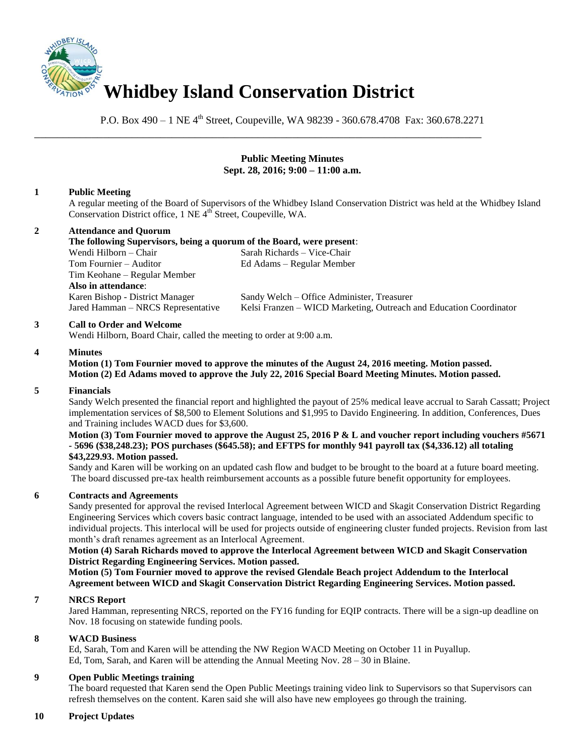

P.O. Box 490 – 1 NE 4<sup>th</sup> Street, Coupeville, WA 98239 - 360.678.4708 Fax: 360.678.2271

\_\_\_\_\_\_\_\_\_\_\_\_\_\_\_\_\_\_\_\_\_\_\_\_\_\_\_\_\_\_\_\_\_\_\_\_\_\_\_\_\_\_\_\_\_\_\_\_\_\_\_\_\_\_\_\_\_\_\_\_\_\_\_\_\_\_\_\_\_\_\_\_\_\_\_\_\_\_

### **Public Meeting Minutes Sept. 28, 2016; 9:00 – 11:00 a.m.**

# **1 Public Meeting**

A regular meeting of the Board of Supervisors of the Whidbey Island Conservation District was held at the Whidbey Island Conservation District office, 1 NE 4<sup>th</sup> Street, Coupeville, WA.

# **2 Attendance and Quorum**

**The following Supervisors, being a quorum of the Board, were present**: Wendi Hilborn – Chair Sarah Richards – Vice-Chair Tom Fournier – Auditor Ed Adams – Regular Member Tim Keohane – Regular Member **Also in attendance**: Karen Bishop - District Manager Sandy Welch – Office Administer, Treasurer Jared Hamman – NRCS Representative Kelsi Franzen – WICD Marketing, Outreach and Education Coordinator

### **3 Call to Order and Welcome**

Wendi Hilborn, Board Chair, called the meeting to order at 9:00 a.m.

### **4 Minutes**

**Motion (1) Tom Fournier moved to approve the minutes of the August 24, 2016 meeting. Motion passed. Motion (2) Ed Adams moved to approve the July 22, 2016 Special Board Meeting Minutes. Motion passed.** 

### **5 Financials**

Sandy Welch presented the financial report and highlighted the payout of 25% medical leave accrual to Sarah Cassatt; Project implementation services of \$8,500 to Element Solutions and \$1,995 to Davido Engineering. In addition, Conferences, Dues and Training includes WACD dues for \$3,600.

#### **Motion (3) Tom Fournier moved to approve the August 25, 2016 P & L and voucher report including vouchers #5671 - 5696 (\$38,248.23); POS purchases (\$645.58); and EFTPS for monthly 941 payroll tax (\$4,336.12) all totaling \$43,229.93. Motion passed.**

Sandy and Karen will be working on an updated cash flow and budget to be brought to the board at a future board meeting. The board discussed pre-tax health reimbursement accounts as a possible future benefit opportunity for employees.

### **6 Contracts and Agreements**

Sandy presented for approval the revised Interlocal Agreement between WICD and Skagit Conservation District Regarding Engineering Services which covers basic contract language, intended to be used with an associated Addendum specific to individual projects. This interlocal will be used for projects outside of engineering cluster funded projects. Revision from last month's draft renames agreement as an Interlocal Agreement.

### **Motion (4) Sarah Richards moved to approve the Interlocal Agreement between WICD and Skagit Conservation District Regarding Engineering Services. Motion passed.**

**Motion (5) Tom Fournier moved to approve the revised Glendale Beach project Addendum to the Interlocal Agreement between WICD and Skagit Conservation District Regarding Engineering Services. Motion passed.**

### **7 NRCS Report**

Jared Hamman, representing NRCS, reported on the FY16 funding for EQIP contracts. There will be a sign-up deadline on Nov. 18 focusing on statewide funding pools.

### **8 WACD Business**

Ed, Sarah, Tom and Karen will be attending the NW Region WACD Meeting on October 11 in Puyallup. Ed, Tom, Sarah, and Karen will be attending the Annual Meeting Nov. 28 – 30 in Blaine.

### **9 Open Public Meetings training**

The board requested that Karen send the Open Public Meetings training video link to Supervisors so that Supervisors can refresh themselves on the content. Karen said she will also have new employees go through the training.

### **10 Project Updates**